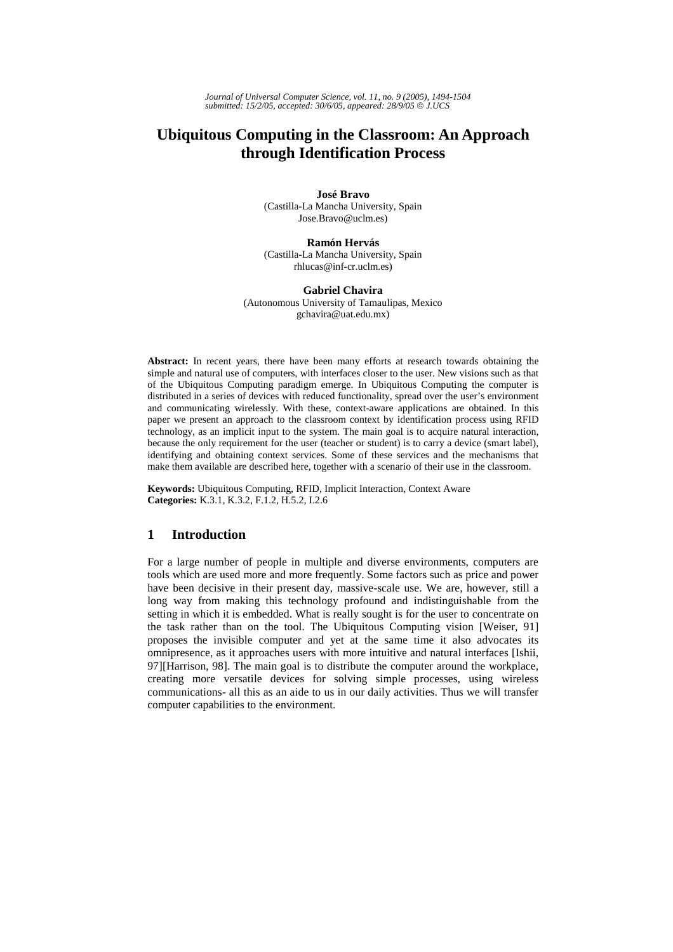# **Ubiquitous Computing in the Classroom: An Approach through Identification Process**

**José Bravo**  (Castilla-La Mancha University, Spain Jose.Bravo@uclm.es)

#### **Ramón Hervás**

(Castilla-La Mancha University, Spain rhlucas@inf-cr.uclm.es)

# **Gabriel Chavira**

(Autonomous University of Tamaulipas, Mexico gchavira@uat.edu.mx)

**Abstract:** In recent years, there have been many efforts at research towards obtaining the simple and natural use of computers, with interfaces closer to the user. New visions such as that of the Ubiquitous Computing paradigm emerge. In Ubiquitous Computing the computer is distributed in a series of devices with reduced functionality, spread over the user's environment and communicating wirelessly. With these, context-aware applications are obtained. In this paper we present an approach to the classroom context by identification process using RFID technology, as an implicit input to the system. The main goal is to acquire natural interaction, because the only requirement for the user (teacher or student) is to carry a device (smart label), identifying and obtaining context services. Some of these services and the mechanisms that make them available are described here, together with a scenario of their use in the classroom.

**Keywords:** Ubiquitous Computing, RFID, Implicit Interaction, Context Aware **Categories:** K.3.1, K.3.2, F.1.2, H.5.2, I.2.6

# **1 Introduction**

For a large number of people in multiple and diverse environments, computers are tools which are used more and more frequently. Some factors such as price and power have been decisive in their present day, massive-scale use. We are, however, still a long way from making this technology profound and indistinguishable from the setting in which it is embedded. What is really sought is for the user to concentrate on the task rather than on the tool. The Ubiquitous Computing vision [Weiser, 91] proposes the invisible computer and yet at the same time it also advocates its omnipresence, as it approaches users with more intuitive and natural interfaces [Ishii, 97][Harrison, 98]. The main goal is to distribute the computer around the workplace, creating more versatile devices for solving simple processes, using wireless communications- all this as an aide to us in our daily activities. Thus we will transfer computer capabilities to the environment.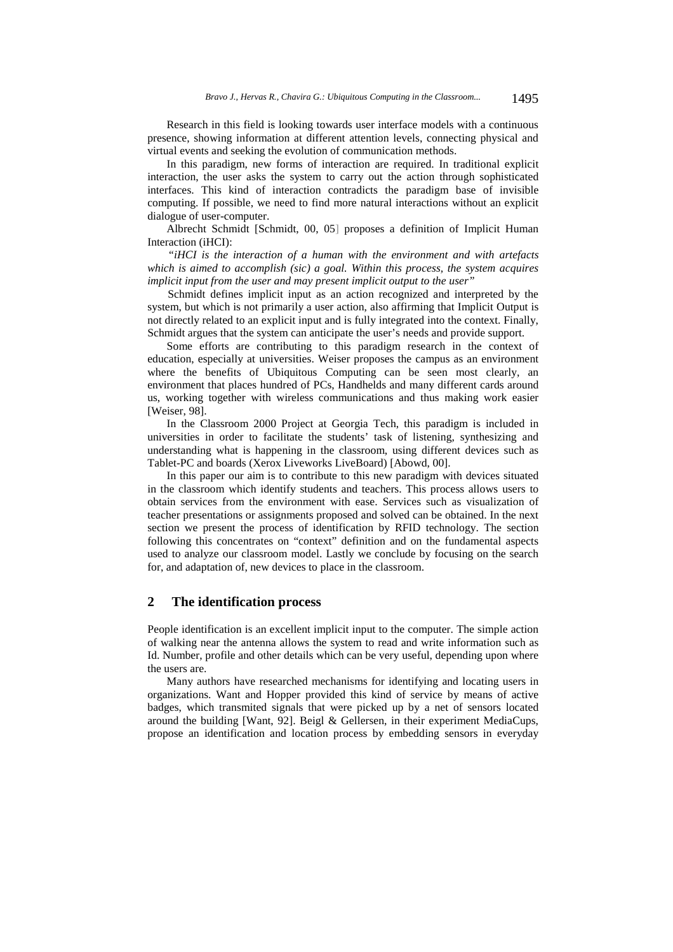Research in this field is looking towards user interface models with a continuous presence, showing information at different attention levels, connecting physical and virtual events and seeking the evolution of communication methods.

In this paradigm, new forms of interaction are required. In traditional explicit interaction, the user asks the system to carry out the action through sophisticated interfaces. This kind of interaction contradicts the paradigm base of invisible computing. If possible, we need to find more natural interactions without an explicit dialogue of user-computer.

Albrecht Schmidt [Schmidt, 00, 05] proposes a definition of Implicit Human Interaction (iHCI):

*"iHCI is the interaction of a human with the environment and with artefacts which is aimed to accomplish (sic) a goal. Within this process, the system acquires implicit input from the user and may present implicit output to the user"* 

Schmidt defines implicit input as an action recognized and interpreted by the system, but which is not primarily a user action, also affirming that Implicit Output is not directly related to an explicit input and is fully integrated into the context. Finally, Schmidt argues that the system can anticipate the user's needs and provide support.

Some efforts are contributing to this paradigm research in the context of education, especially at universities. Weiser proposes the campus as an environment where the benefits of Ubiquitous Computing can be seen most clearly, an environment that places hundred of PCs, Handhelds and many different cards around us, working together with wireless communications and thus making work easier [Weiser, 98].

In the Classroom 2000 Project at Georgia Tech, this paradigm is included in universities in order to facilitate the students' task of listening, synthesizing and understanding what is happening in the classroom, using different devices such as Tablet-PC and boards (Xerox Liveworks LiveBoard) [Abowd, 00].

In this paper our aim is to contribute to this new paradigm with devices situated in the classroom which identify students and teachers. This process allows users to obtain services from the environment with ease. Services such as visualization of teacher presentations or assignments proposed and solved can be obtained. In the next section we present the process of identification by RFID technology. The section following this concentrates on "context" definition and on the fundamental aspects used to analyze our classroom model. Lastly we conclude by focusing on the search for, and adaptation of, new devices to place in the classroom.

# **2 The identification process**

People identification is an excellent implicit input to the computer. The simple action of walking near the antenna allows the system to read and write information such as Id. Number, profile and other details which can be very useful, depending upon where the users are.

Many authors have researched mechanisms for identifying and locating users in organizations. Want and Hopper provided this kind of service by means of active badges, which transmited signals that were picked up by a net of sensors located around the building [Want, 92]. Beigl & Gellersen, in their experiment MediaCups, propose an identification and location process by embedding sensors in everyday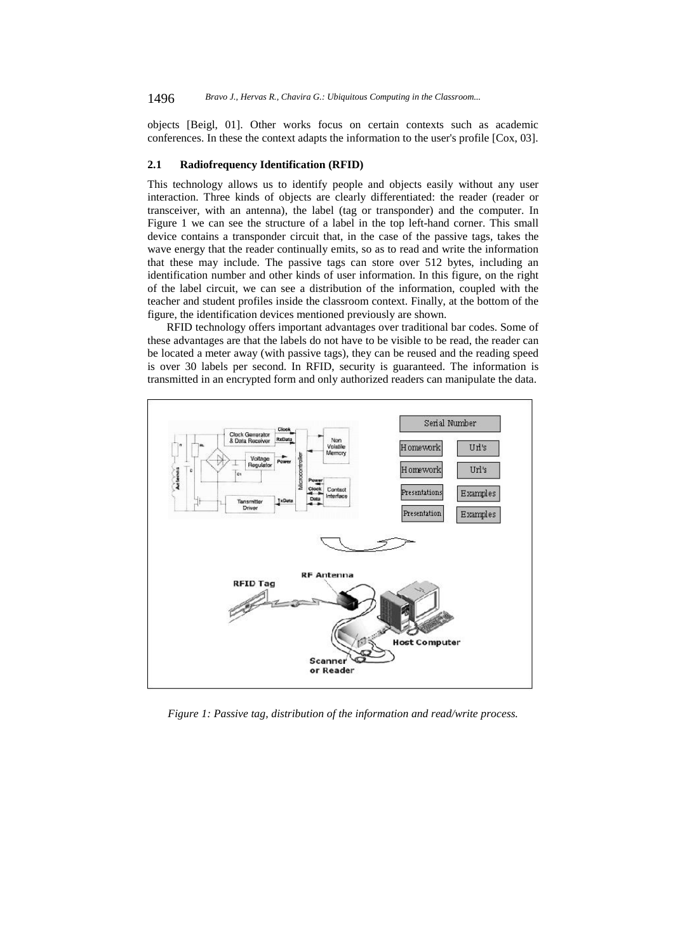objects [Beigl, 01]. Other works focus on certain contexts such as academic conferences. In these the context adapts the information to the user's profile [Cox, 03].

#### **2.1 Radiofrequency Identification (RFID)**

This technology allows us to identify people and objects easily without any user interaction. Three kinds of objects are clearly differentiated: the reader (reader or transceiver, with an antenna), the label (tag or transponder) and the computer. In Figure 1 we can see the structure of a label in the top left-hand corner. This small device contains a transponder circuit that, in the case of the passive tags, takes the wave energy that the reader continually emits, so as to read and write the information that these may include. The passive tags can store over 512 bytes, including an identification number and other kinds of user information. In this figure, on the right of the label circuit, we can see a distribution of the information, coupled with the teacher and student profiles inside the classroom context. Finally, at the bottom of the figure, the identification devices mentioned previously are shown.

RFID technology offers important advantages over traditional bar codes. Some of these advantages are that the labels do not have to be visible to be read, the reader can be located a meter away (with passive tags), they can be reused and the reading speed is over 30 labels per second. In RFID, security is guaranteed. The information is transmitted in an encrypted form and only authorized readers can manipulate the data.



*Figure 1: Passive tag, distribution of the information and read/write process.*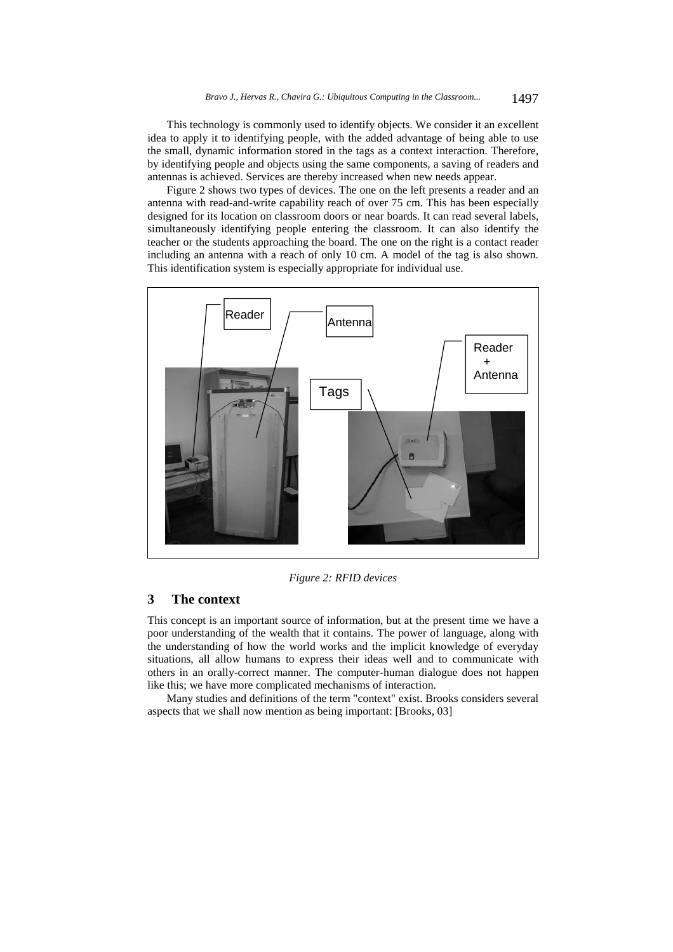This technology is commonly used to identify objects. We consider it an excellent idea to apply it to identifying people, with the added advantage of being able to use the small, dynamic information stored in the tags as a context interaction. Therefore, by identifying people and objects using the same components, a saving of readers and antennas is achieved. Services are thereby increased when new needs appear.

Figure 2 shows two types of devices. The one on the left presents a reader and an antenna with read-and-write capability reach of over 75 cm. This has been especially designed for its location on classroom doors or near boards. It can read several labels, simultaneously identifying people entering the classroom. It can also identify the teacher or the students approaching the board. The one on the right is a contact reader including an antenna with a reach of only 10 cm. A model of the tag is also shown. This identification system is especially appropriate for individual use.



*Figure 2: RFID devices* 

# **3 The context**

This concept is an important source of information, but at the present time we have a poor understanding of the wealth that it contains. The power of language, along with the understanding of how the world works and the implicit knowledge of everyday situations, all allow humans to express their ideas well and to communicate with others in an orally-correct manner. The computer-human dialogue does not happen like this; we have more complicated mechanisms of interaction.

Many studies and definitions of the term "context" exist. Brooks considers several aspects that we shall now mention as being important: [Brooks, 03]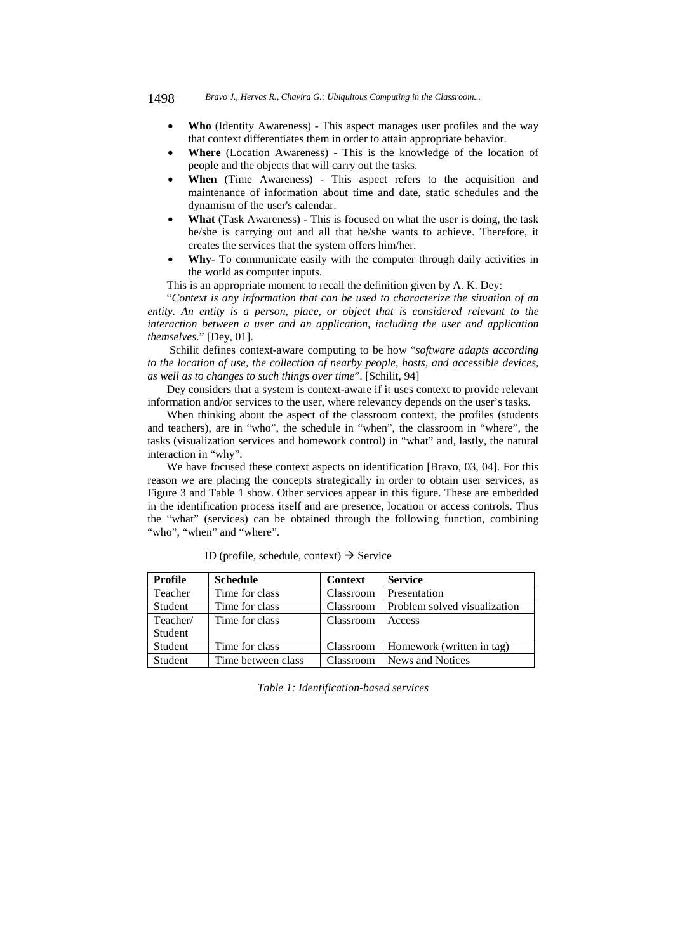- **Who** (Identity Awareness) This aspect manages user profiles and the way that context differentiates them in order to attain appropriate behavior.
- **Where** (Location Awareness) This is the knowledge of the location of people and the objects that will carry out the tasks.
- **When** (Time Awareness) This aspect refers to the acquisition and maintenance of information about time and date, static schedules and the dynamism of the user's calendar.
- **What** (Task Awareness) This is focused on what the user is doing, the task he/she is carrying out and all that he/she wants to achieve. Therefore, it creates the services that the system offers him/her.
- **Why** To communicate easily with the computer through daily activities in the world as computer inputs.

This is an appropriate moment to recall the definition given by A. K. Dey:

"*Context is any information that can be used to characterize the situation of an entity. An entity is a person, place, or object that is considered relevant to the interaction between a user and an application, including the user and application themselves*." [Dey, 01].

 Schilit defines context-aware computing to be how "*software adapts according to the location of use, the collection of nearby people, hosts, and accessible devices, as well as to changes to such things over time*". [Schilit, 94]

Dey considers that a system is context-aware if it uses context to provide relevant information and/or services to the user, where relevancy depends on the user's tasks.

When thinking about the aspect of the classroom context, the profiles (students and teachers), are in "who", the schedule in "when", the classroom in "where", the tasks (visualization services and homework control) in "what" and, lastly, the natural interaction in "why".

We have focused these context aspects on identification [Bravo, 03, 04]. For this reason we are placing the concepts strategically in order to obtain user services, as Figure 3 and Table 1 show. Other services appear in this figure. These are embedded in the identification process itself and are presence, location or access controls. Thus the "what" (services) can be obtained through the following function, combining "who", "when" and "where".

| Profile        | <b>Schedule</b>    | Context   | <b>Service</b>               |
|----------------|--------------------|-----------|------------------------------|
| Teacher        | Time for class     | Classroom | Presentation                 |
| Student        | Time for class     | Classroom | Problem solved visualization |
| Teacher/       | Time for class     | Classroom | Access                       |
| Student        |                    |           |                              |
| <b>Student</b> | Time for class     | Classroom | Homework (written in tag)    |
| Student        | Time between class | Classroom | News and Notices             |

ID (profile, schedule, context)  $\rightarrow$  Service

*Table 1: Identification-based services*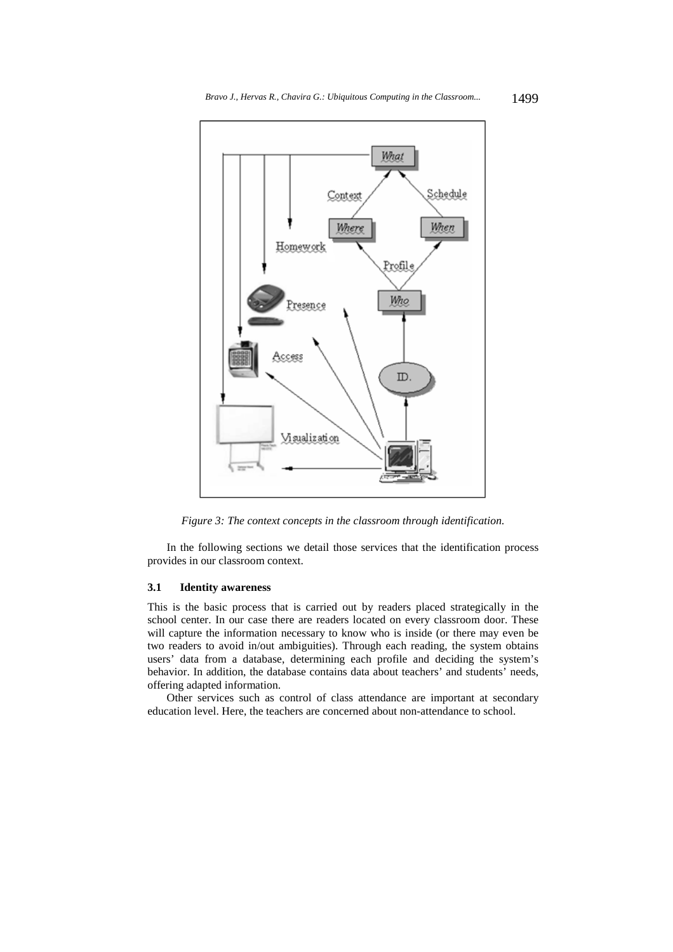

*Figure 3: The context concepts in the classroom through identification.* 

In the following sections we detail those services that the identification process provides in our classroom context.

### **3.1 Identity awareness**

This is the basic process that is carried out by readers placed strategically in the school center. In our case there are readers located on every classroom door. These will capture the information necessary to know who is inside (or there may even be two readers to avoid in/out ambiguities). Through each reading, the system obtains users' data from a database, determining each profile and deciding the system's behavior. In addition, the database contains data about teachers' and students' needs, offering adapted information.

Other services such as control of class attendance are important at secondary education level. Here, the teachers are concerned about non-attendance to school.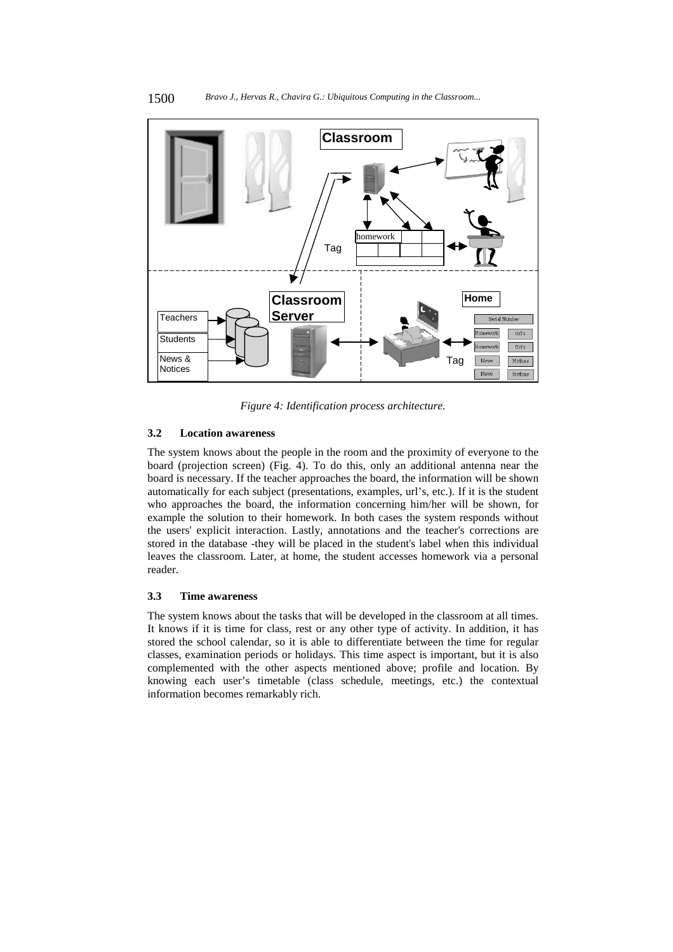

*Figure 4: Identification process architecture.* 

### **3.2 Location awareness**

The system knows about the people in the room and the proximity of everyone to the board (projection screen) (Fig. 4). To do this, only an additional antenna near the board is necessary. If the teacher approaches the board, the information will be shown automatically for each subject (presentations, examples, url's, etc.). If it is the student who approaches the board, the information concerning him/her will be shown, for example the solution to their homework. In both cases the system responds without the users' explicit interaction. Lastly, annotations and the teacher's corrections are stored in the database -they will be placed in the student's label when this individual leaves the classroom. Later, at home, the student accesses homework via a personal reader.

#### **3.3 Time awareness**

The system knows about the tasks that will be developed in the classroom at all times. It knows if it is time for class, rest or any other type of activity. In addition, it has stored the school calendar, so it is able to differentiate between the time for regular classes, examination periods or holidays. This time aspect is important, but it is also complemented with the other aspects mentioned above; profile and location. By knowing each user's timetable (class schedule, meetings, etc.) the contextual information becomes remarkably rich.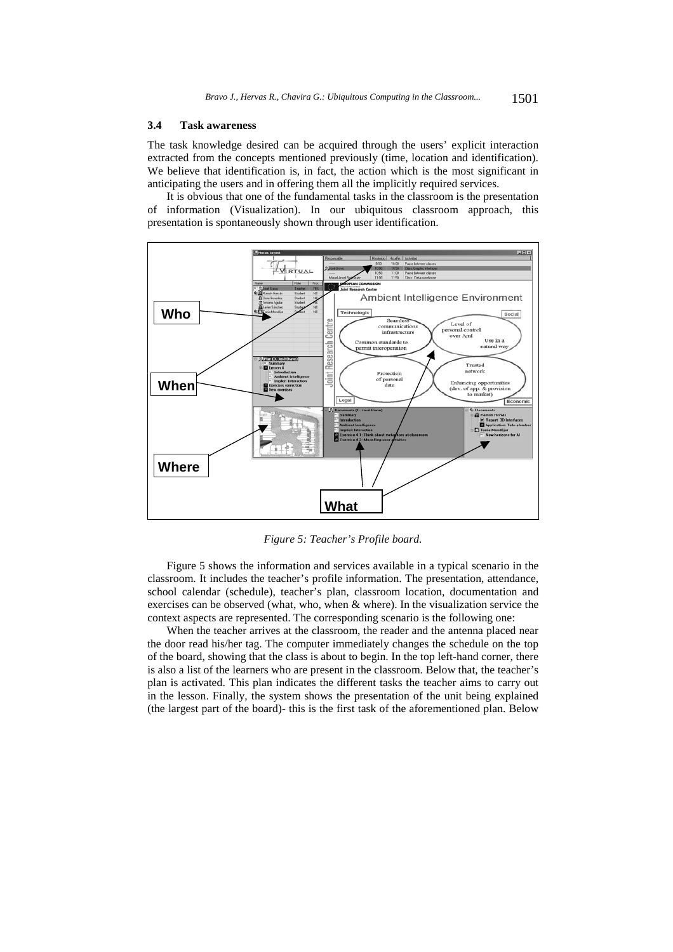#### **3.4 Task awareness**

The task knowledge desired can be acquired through the users' explicit interaction extracted from the concepts mentioned previously (time, location and identification). We believe that identification is, in fact, the action which is the most significant in anticipating the users and in offering them all the implicitly required services.

It is obvious that one of the fundamental tasks in the classroom is the presentation of information (Visualization). In our ubiquitous classroom approach, this presentation is spontaneously shown through user identification.



*Figure 5: Teacher's Profile board.*

Figure 5 shows the information and services available in a typical scenario in the classroom. It includes the teacher's profile information. The presentation, attendance, school calendar (schedule), teacher's plan, classroom location, documentation and exercises can be observed (what, who, when & where). In the visualization service the context aspects are represented. The corresponding scenario is the following one:

When the teacher arrives at the classroom, the reader and the antenna placed near the door read his/her tag. The computer immediately changes the schedule on the top of the board, showing that the class is about to begin. In the top left-hand corner, there is also a list of the learners who are present in the classroom. Below that, the teacher's plan is activated. This plan indicates the different tasks the teacher aims to carry out in the lesson. Finally, the system shows the presentation of the unit being explained (the largest part of the board)- this is the first task of the aforementioned plan. Below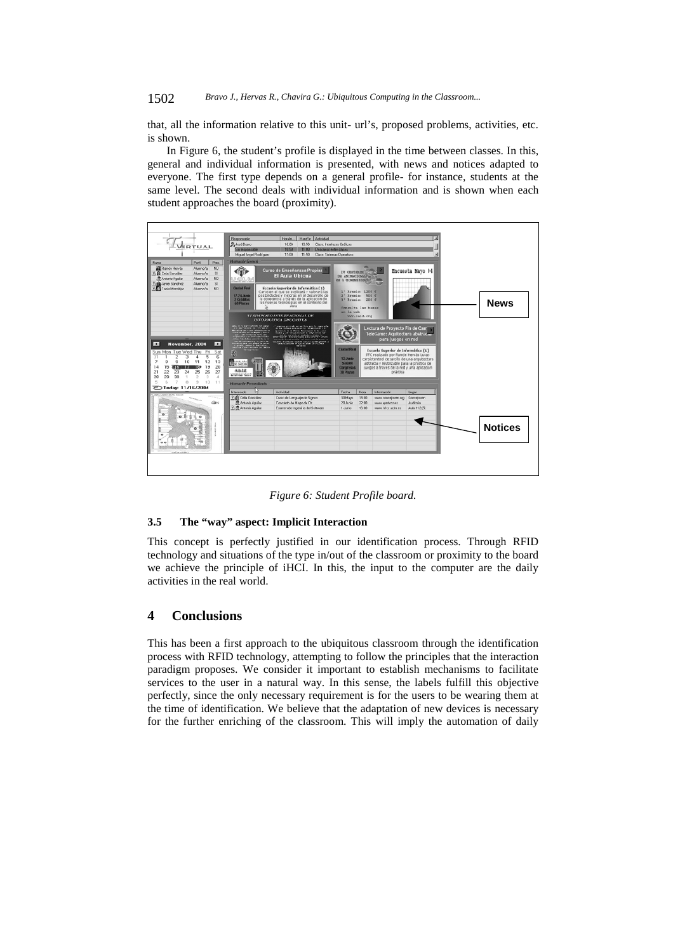#### 1502 *Bravo J., Hervas R., Chavira G.: Ubiquitous Computing in the Classroom...*

that, all the information relative to this unit- url's, proposed problems, activities, etc. is shown.

In Figure 6, the student's profile is displayed in the time between classes. In this, general and individual information is presented, with news and notices adapted to everyone. The first type depends on a general profile- for instance, students at the same level. The second deals with individual information and is shown when each student approaches the board (proximity).



*Figure 6: Student Profile board.* 

#### **3.5 The "way" aspect: Implicit Interaction**

This concept is perfectly justified in our identification process. Through RFID technology and situations of the type in/out of the classroom or proximity to the board we achieve the principle of iHCI. In this, the input to the computer are the daily activities in the real world.

# **4 Conclusions**

This has been a first approach to the ubiquitous classroom through the identification process with RFID technology, attempting to follow the principles that the interaction paradigm proposes. We consider it important to establish mechanisms to facilitate services to the user in a natural way. In this sense, the labels fulfill this objective perfectly, since the only necessary requirement is for the users to be wearing them at the time of identification. We believe that the adaptation of new devices is necessary for the further enriching of the classroom. This will imply the automation of daily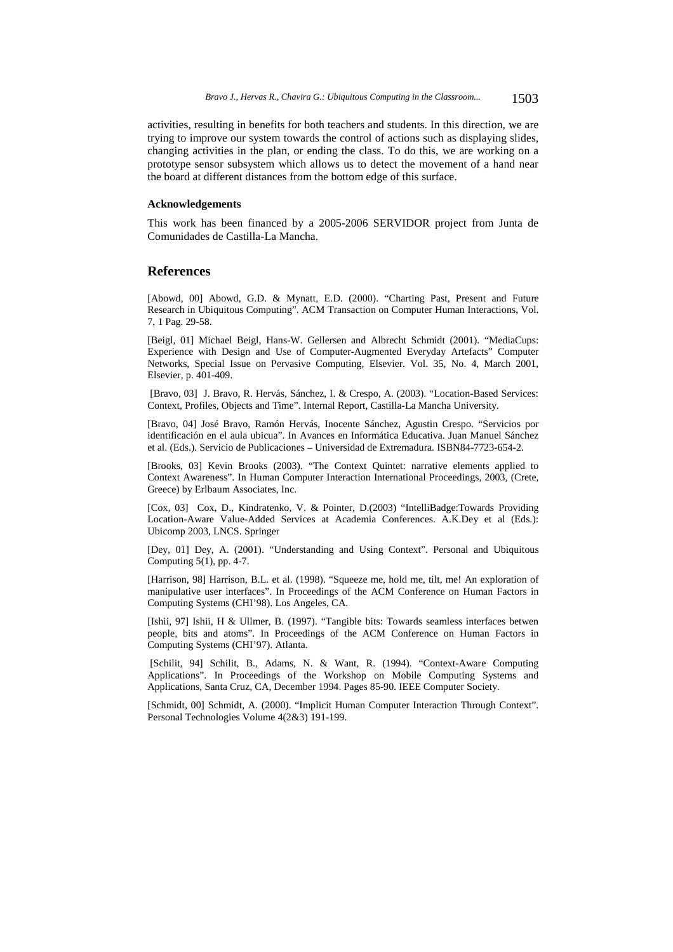activities, resulting in benefits for both teachers and students. In this direction, we are trying to improve our system towards the control of actions such as displaying slides, changing activities in the plan, or ending the class. To do this, we are working on a prototype sensor subsystem which allows us to detect the movement of a hand near the board at different distances from the bottom edge of this surface.

### **Acknowledgements**

This work has been financed by a 2005-2006 SERVIDOR project from Junta de Comunidades de Castilla-La Mancha.

## **References**

[Abowd, 00] Abowd, G.D. & Mynatt, E.D. (2000). "Charting Past, Present and Future Research in Ubiquitous Computing". ACM Transaction on Computer Human Interactions, Vol. 7, 1 Pag. 29-58.

[Beigl, 01] Michael Beigl, Hans-W. Gellersen and Albrecht Schmidt (2001). "MediaCups: Experience with Design and Use of Computer-Augmented Everyday Artefacts" Computer Networks, Special Issue on Pervasive Computing, Elsevier. Vol. 35, No. 4, March 2001, Elsevier, p. 401-409.

 [Bravo, 03] J. Bravo, R. Hervás, Sánchez, I. & Crespo, A. (2003). "Location-Based Services: Context, Profiles, Objects and Time". Internal Report, Castilla-La Mancha University.

[Bravo, 04] José Bravo, Ramón Hervás, Inocente Sánchez, Agustin Crespo. "Servicios por identificación en el aula ubicua". In Avances en Informática Educativa. Juan Manuel Sánchez et al. (Eds.). Servicio de Publicaciones – Universidad de Extremadura. ISBN84-7723-654-2.

[Brooks, 03] Kevin Brooks (2003). "The Context Quintet: narrative elements applied to Context Awareness". In Human Computer Interaction International Proceedings, 2003, (Crete, Greece) by Erlbaum Associates, Inc.

[Cox, 03] Cox, D., Kindratenko, V. & Pointer, D.(2003) "IntelliBadge:Towards Providing Location-Aware Value-Added Services at Academia Conferences. A.K.Dey et al (Eds.): Ubicomp 2003, LNCS. Springer

[Dey, 01] Dey, A. (2001). "Understanding and Using Context". Personal and Ubiquitous Computing  $5(1)$ , pp. 4-7.

[Harrison, 98] Harrison, B.L. et al. (1998). "Squeeze me, hold me, tilt, me! An exploration of manipulative user interfaces". In Proceedings of the ACM Conference on Human Factors in Computing Systems (CHI'98). Los Angeles, CA.

[Ishii, 97] Ishii, H & Ullmer, B. (1997). "Tangible bits: Towards seamless interfaces betwen people, bits and atoms". In Proceedings of the ACM Conference on Human Factors in Computing Systems (CHI'97). Atlanta.

 [Schilit, 94] Schilit, B., Adams, N. & Want, R. (1994). "Context-Aware Computing Applications". In Proceedings of the Workshop on Mobile Computing Systems and Applications, Santa Cruz, CA, December 1994. Pages 85-90. IEEE Computer Society.

[Schmidt, 00] Schmidt, A. (2000). "Implicit Human Computer Interaction Through Context". Personal Technologies Volume 4(2&3) 191-199.